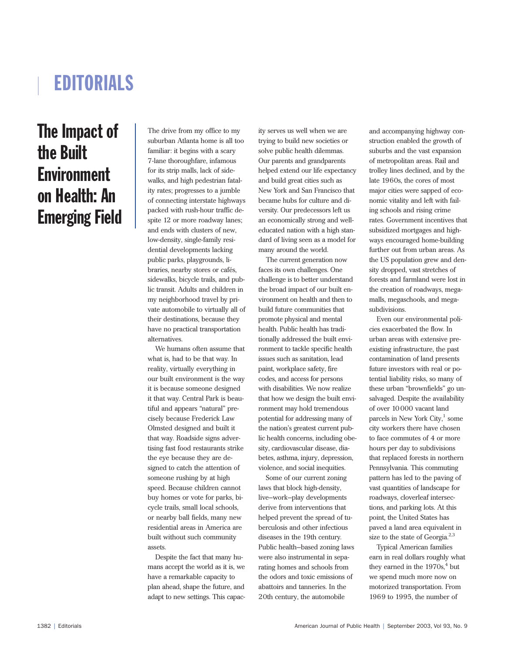# EDITORIALS

## The Impact of the Built **Environment** on Health: An Emerging Field

The drive from my office to my suburban Atlanta home is all too familiar: it begins with a scary 7-lane thoroughfare, infamous for its strip malls, lack of sidewalks, and high pedestrian fatality rates; progresses to a jumble of connecting interstate highways packed with rush-hour traffic despite 12 or more roadway lanes; and ends with clusters of new, low-density, single-family residential developments lacking public parks, playgrounds, libraries, nearby stores or cafés, sidewalks, bicycle trails, and public transit. Adults and children in my neighborhood travel by private automobile to virtually all of their destinations, because they have no practical transportation alternatives.

We humans often assume that what is, had to be that way. In reality, virtually everything in our built environment is the way it is because someone designed it that way. Central Park is beautiful and appears "natural" precisely because Frederick Law Olmsted designed and built it that way. Roadside signs advertising fast food restaurants strike the eye because they are designed to catch the attention of someone rushing by at high speed. Because children cannot buy homes or vote for parks, bicycle trails, small local schools, or nearby ball fields, many new residential areas in America are built without such community assets.

Despite the fact that many humans accept the world as it is, we have a remarkable capacity to plan ahead, shape the future, and adapt to new settings. This capacity serves us well when we are trying to build new societies or solve public health dilemmas. Our parents and grandparents helped extend our life expectancy and build great cities such as New York and San Francisco that became hubs for culture and diversity. Our predecessors left us an economically strong and welleducated nation with a high standard of living seen as a model for many around the world.

The current generation now faces its own challenges. One challenge is to better understand the broad impact of our built environment on health and then to build future communities that promote physical and mental health. Public health has traditionally addressed the built environment to tackle specific health issues such as sanitation, lead paint, workplace safety, fire codes, and access for persons with disabilities. We now realize that how we design the built environment may hold tremendous potential for addressing many of the nation's greatest current public health concerns, including obesity, cardiovascular disease, diabetes, asthma, injury, depression, violence, and social inequities.

Some of our current zoning laws that block high-density, live–work–play developments derive from interventions that helped prevent the spread of tuberculosis and other infectious diseases in the 19th century. Public health–based zoning laws were also instrumental in separating homes and schools from the odors and toxic emissions of abattoirs and tanneries. In the 20th century, the automobile

and accompanying highway construction enabled the growth of suburbs and the vast expansion of metropolitan areas. Rail and trolley lines declined, and by the late 1960s, the cores of most major cities were sapped of economic vitality and left with failing schools and rising crime rates. Government incentives that subsidized mortgages and highways encouraged home-building further out from urban areas. As the US population grew and density dropped, vast stretches of forests and farmland were lost in the creation of roadways, megamalls, megaschools, and megasubdivisions.

Even our environmental policies exacerbated the flow. In urban areas with extensive preexisting infrastructure, the past contamination of land presents future investors with real or potential liability risks, so many of these urban "brownfields" go unsalvaged. Despite the availability of over 10000 vacant land parcels in New York City, $1$  some city workers there have chosen to face commutes of 4 or more hours per day to subdivisions that replaced forests in northern Pennsylvania. This commuting pattern has led to the paving of vast quantities of landscape for roadways, cloverleaf intersections, and parking lots. At this point, the United States has paved a land area equivalent in size to the state of Georgia.<sup>2,3</sup>

Typical American families earn in real dollars roughly what they earned in the  $1970s<sub>i</sub><sup>4</sup>$  but we spend much more now on motorized transportation. From 1969 to 1995, the number of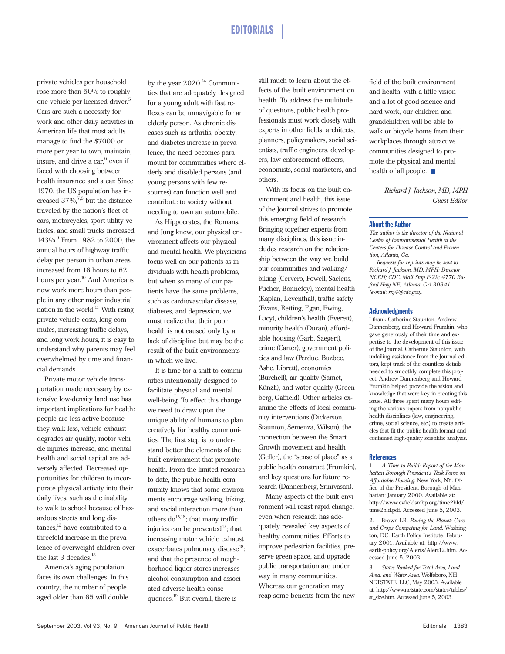### EDITORIALS

private vehicles per household rose more than 50% to roughly one vehicle per licensed driver.<sup>5</sup> Cars are such a necessity for work and other daily activities in American life that most adults manage to find the \$7000 or more per year to own, maintain, insure, and drive a  $car<sup>6</sup>$  even if faced with choosing between health insurance and a car. Since 1970, the US population has increased  $37\%$ ,<sup>7,8</sup> but the distance traveled by the nation's fleet of cars, motorcycles, sport-utility vehicles, and small trucks increased 143%.9 From 1982 to 2000, the annual hours of highway traffic delay per person in urban areas increased from 16 hours to 62 hours per year.<sup>10</sup> And Americans now work more hours than people in any other major industrial nation in the world. $^{11}$  With rising private vehicle costs, long commutes, increasing traffic delays, and long work hours, it is easy to understand why parents may feel overwhelmed by time and financial demands.

Private motor vehicle transportation made necessary by extensive low-density land use has important implications for health: people are less active because they walk less, vehicle exhaust degrades air quality, motor vehicle injuries increase, and mental health and social capital are adversely affected. Decreased opportunities for children to incorporate physical activity into their daily lives, such as the inability to walk to school because of hazardous streets and long dis $tances$ ,<sup>12</sup> have contributed to a threefold increase in the prevalence of overweight children over the last 3 decades.<sup>13</sup>

America's aging population faces its own challenges. In this country, the number of people aged older than 65 will double

by the year 2020.<sup>14</sup> Communities that are adequately designed for a young adult with fast reflexes can be unnavigable for an elderly person. As chronic diseases such as arthritis, obesity, and diabetes increase in prevalence, the need becomes paramount for communities where elderly and disabled persons (and young persons with few resources) can function well and contribute to society without needing to own an automobile.

As Hippocrates, the Romans, and Jung knew, our physical environment affects our physical and mental health. We physicians focus well on our patients as individuals with health problems, but when so many of our patients have the same problems, such as cardiovascular disease, diabetes, and depression, we must realize that their poor health is not caused only by a lack of discipline but may be the result of the built environments in which we live.

It is time for a shift to communities intentionally designed to facilitate physical and mental well-being. To effect this change, we need to draw upon the unique ability of humans to plan creatively for healthy communities. The first step is to understand better the elements of the built environment that promote health. From the limited research to date, the public health community knows that some environments encourage walking, biking, and social interaction more than others  $do^{15,16}$ ; that many traffic injuries can be prevented<sup>17</sup>; that increasing motor vehicle exhaust exacerbates pulmonary disease<sup>18</sup>; and that the presence of neighborhood liquor stores increases alcohol consumption and associated adverse health consequences.<sup>19</sup> But overall, there is

still much to learn about the effects of the built environment on health. To address the multitude of questions, public health professionals must work closely with experts in other fields: architects, planners, policymakers, social scientists, traffic engineers, developers, law enforcement officers, economists, social marketers, and others.

With its focus on the built environment and health, this issue of the Journal strives to promote this emerging field of research. Bringing together experts from many disciplines, this issue includes research on the relationship between the way we build our communities and walking/ biking (Cervero, Powell, Saelens, Pucher, Bonnefoy), mental health (Kaplan, Leventhal), traffic safety (Evans, Retting, Egan, Ewing, Lucy), children's health (Everett), minority health (Duran), affordable housing (Garb, Saegert), crime (Carter), government policies and law (Perdue, Buzbee, Ashe, Librett), economics (Burchell), air quality (Samet, Künzli), and water quality (Greenberg, Gaffield). Other articles examine the effects of local community interventions (Dickerson, Staunton, Semenza, Wilson), the connection between the Smart Growth movement and health (Geller), the "sense of place" as a public health construct (Frumkin), and key questions for future research (Dannenberg, Srinivasan).

Many aspects of the built environment will resist rapid change, even when research has adequately revealed key aspects of healthy communities. Efforts to improve pedestrian facilities, preserve green space, and upgrade public transportation are under way in many communities. Whereas our generation may reap some benefits from the new

field of the built environment and health, with a little vision and a lot of good science and hard work, our children and grandchildren will be able to walk or bicycle home from their workplaces through attractive communities designed to promote the physical and mental health of all people.

> *Richard J. Jackson, MD, MPH Guest Editor*

#### About the Author

*The author is the director of the National Center of Environmental Health at the Centers for Disease Control and Prevention, Atlanta, Ga.* 

*Requests for reprints may be sent to Richard J. Jackson, MD, MPH; Director NCEH; CDC, Mail Stop F-29; 4770 Buford Hwy NE; Atlanta, GA 30341 (e-mail: rxj4@cdc.gov).*

#### **Acknowledgments**

I thank Catherine Staunton, Andrew Dannenberg, and Howard Frumkin, who gave generously of their time and expertise to the development of this issue of the Journal. Catherine Staunton, with unfailing assistance from the Journal editors, kept track of the countless details needed to smoothly complete this project. Andrew Dannenberg and Howard Frumkin helped provide the vision and knowledge that were key in creating this issue. All three spent many hours editing the various papers from nonpublic health disciplines (law, engineering, crime, social science, etc.) to create articles that fit the public health format and contained high-quality scientific analysis.

#### **References**

1. *A Time to Build: Report of the Manhattan Borough President's Task Force on Affordable Housing.* New York, NY: Office of the President, Borough of Manhattan; January 2000. Available at: http://www.cvfieldsmbp.org/time2bld/ time2bld.pdf. Accessed June 5, 2003.

2. Brown LR. *Paving the Planet: Cars and Crops Competing for Land.* Washington, DC: Earth Policy Institute; February 2001. Available at: http://www. earth-policy.org/Alerts/Alert12.htm. Accessed June 5, 2003.

3. *States Ranked for Total Area, Land Area, and Water Area.* Wolfeboro, NH: NETSTATE, LLC; May 2003. Available at: http://www.netstate.com/states/tables/ st\_size.htm. Accessed June 5, 2003.